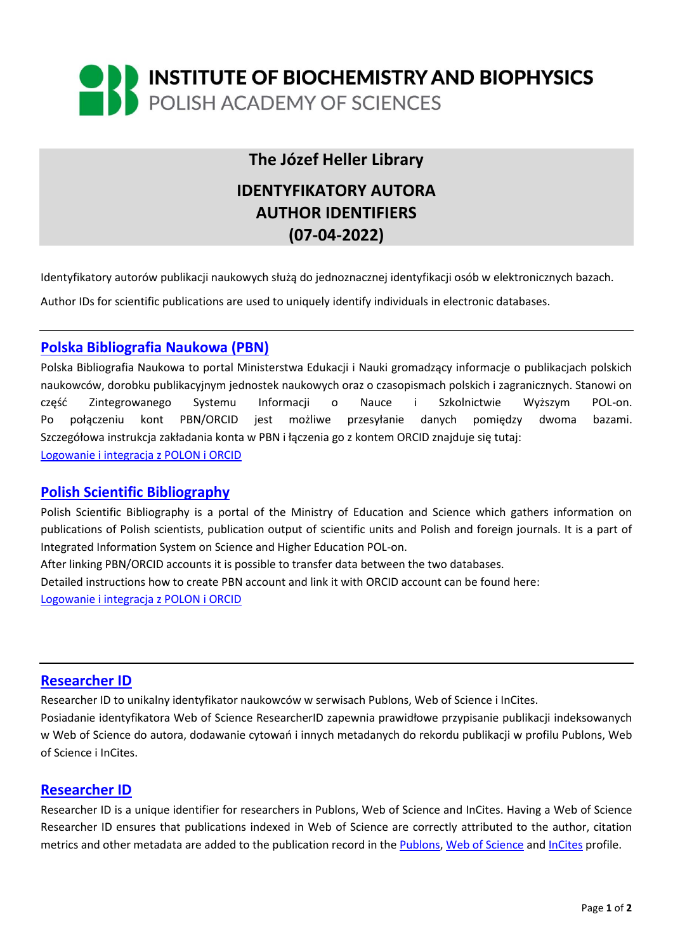

# **The Józef Heller Library**

# **IDENTYFIKATORY AUTORA AUTHOR IDENTIFIERS (07-04-2022)**

Identyfikatory autorów publikacji naukowych służą do jednoznacznej identyfikacji osób w elektronicznych bazach.

Author IDs for scientific publications are used to uniquely identify individuals in electronic databases.

# **[Polska Bibliografia Naukowa \(PBN\)](https://pbn.nauka.gov.pl/core/#/home)**

Polska Bibliografia Naukowa to portal Ministerstwa Edukacji i Nauki gromadzący informacje o publikacjach polskich naukowców, dorobku publikacyjnym jednostek naukowych oraz o czasopismach polskich i zagranicznych. Stanowi on część Zintegrowanego Systemu Informacji o Nauce i Szkolnictwie Wyższym POL-on. Po połączeniu kont PBN/ORCID jest możliwe przesyłanie danych pomiędzy dwoma bazami. Szczegółowa instrukcja zakładania konta w PBN i łączenia go z kontem ORCID znajduje się tutaj: [Logowanie i integracja z POLON](https://www.youtube.com/watch?v=--sQ3lYAcZg) i ORCID

## **[Polish Scientific Bibliography](https://pbn.nauka.gov.pl/core/#/home)**

Polish Scientific Bibliography is a portal of the Ministry of Education and Science which gathers information on publications of Polish scientists, publication output of scientific units and Polish and foreign journals. It is a part of Integrated Information System on Science and Higher Education POL-on.

After linking PBN/ORCID accounts it is possible to transfer data between the two databases. Detailed instructions how to create PBN account and link it with ORCID account can be found here: [Logowanie i integracja z POLON i ORCID](https://www.youtube.com/watch?v=--sQ3lYAcZg)

## **[Researcher ID](https://www.researcherid.com/#rid-for-researchers)**

Researcher ID to unikalny identyfikator naukowców w serwisach Publons, Web of Science i InCites. Posiadanie identyfikatora Web of Science ResearcherID zapewnia prawidłowe przypisanie publikacji indeksowanych w Web of Science do autora, dodawanie cytowań i innych metadanych do rekordu publikacji w profilu Publons, Web of Science i InCites.

#### **[Researcher ID](https://www.researcherid.com/#rid-for-researchers)**

Researcher ID is a unique identifier for researchers in Publons, Web of Science and InCites. Having a Web of Science Researcher ID ensures that publications indexed in Web of Science are correctly attributed to the author, citation metrics and other metadata are added to the publication record in th[e Publons,](https://publons.com/about/home/) [Web of Science](https://www.webofscience.com/wos/woscc/basic-search) and [InCites](https://access.clarivate.com/login?app=incites) profile.